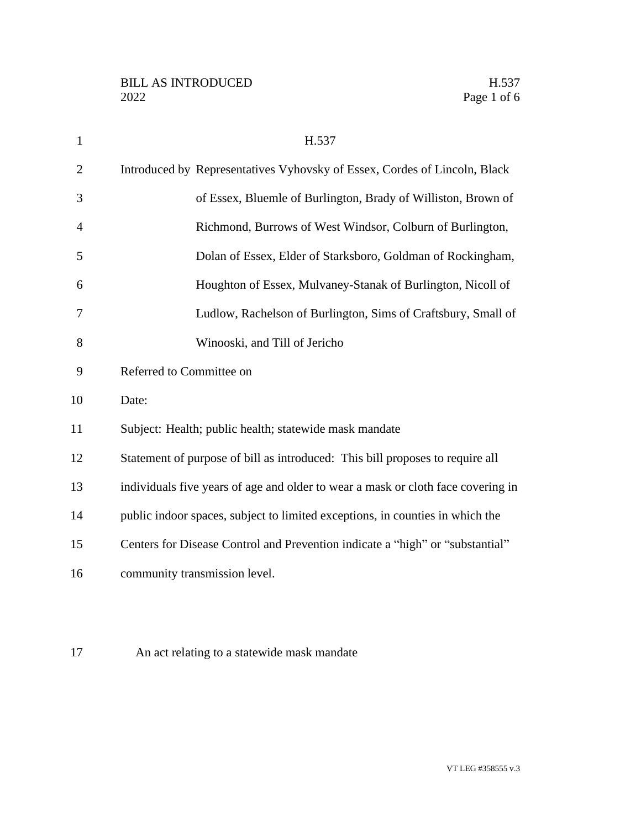| $\mathbf{1}$ | H.537                                                                            |
|--------------|----------------------------------------------------------------------------------|
| $\mathbf{2}$ | Introduced by Representatives Vyhovsky of Essex, Cordes of Lincoln, Black        |
| 3            | of Essex, Bluemle of Burlington, Brady of Williston, Brown of                    |
| 4            | Richmond, Burrows of West Windsor, Colburn of Burlington,                        |
| 5            | Dolan of Essex, Elder of Starksboro, Goldman of Rockingham,                      |
| 6            | Houghton of Essex, Mulvaney-Stanak of Burlington, Nicoll of                      |
| 7            | Ludlow, Rachelson of Burlington, Sims of Craftsbury, Small of                    |
| 8            | Winooski, and Till of Jericho                                                    |
| 9            | Referred to Committee on                                                         |
| 10           | Date:                                                                            |
| 11           | Subject: Health; public health; statewide mask mandate                           |
| 12           | Statement of purpose of bill as introduced: This bill proposes to require all    |
| 13           | individuals five years of age and older to wear a mask or cloth face covering in |
| 14           | public indoor spaces, subject to limited exceptions, in counties in which the    |
| 15           | Centers for Disease Control and Prevention indicate a "high" or "substantial"    |
| 16           | community transmission level.                                                    |
|              |                                                                                  |

An act relating to a statewide mask mandate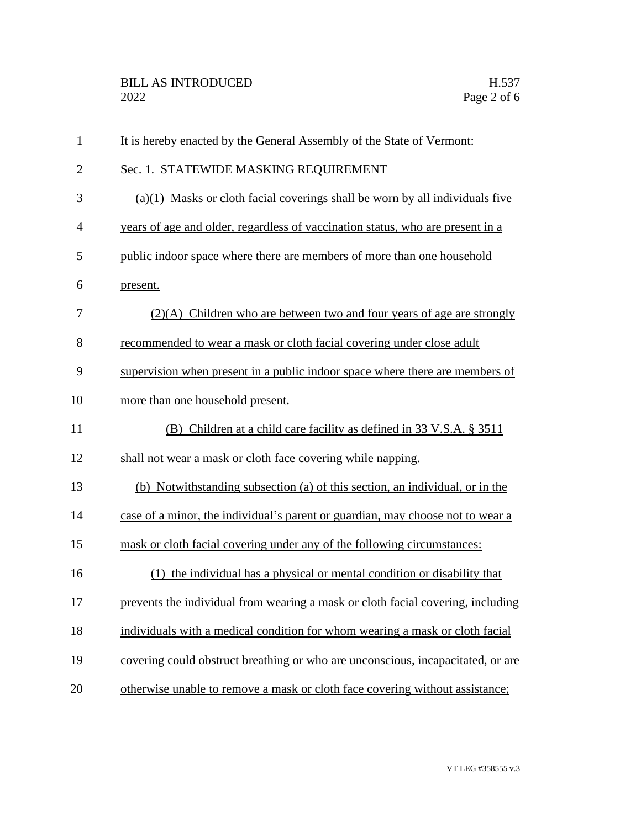| $\mathbf{1}$   | It is hereby enacted by the General Assembly of the State of Vermont:           |
|----------------|---------------------------------------------------------------------------------|
| $\overline{2}$ | Sec. 1. STATEWIDE MASKING REQUIREMENT                                           |
| 3              | $(a)(1)$ Masks or cloth facial coverings shall be worn by all individuals five  |
| $\overline{4}$ | years of age and older, regardless of vaccination status, who are present in a  |
| 5              | public indoor space where there are members of more than one household          |
| 6              | present.                                                                        |
| 7              | $(2)(A)$ Children who are between two and four years of age are strongly        |
| 8              | recommended to wear a mask or cloth facial covering under close adult           |
| 9              | supervision when present in a public indoor space where there are members of    |
| 10             | more than one household present.                                                |
| 11             | (B) Children at a child care facility as defined in 33 V.S.A. § 3511            |
| 12             | shall not wear a mask or cloth face covering while napping.                     |
| 13             | (b) Notwithstanding subsection (a) of this section, an individual, or in the    |
| 14             | case of a minor, the individual's parent or guardian, may choose not to wear a  |
| 15             | mask or cloth facial covering under any of the following circumstances:         |
| 16             | (1) the individual has a physical or mental condition or disability that        |
| 17             | prevents the individual from wearing a mask or cloth facial covering, including |
| 18             | individuals with a medical condition for whom wearing a mask or cloth facial    |
| 19             | covering could obstruct breathing or who are unconscious, incapacitated, or are |
| 20             | otherwise unable to remove a mask or cloth face covering without assistance;    |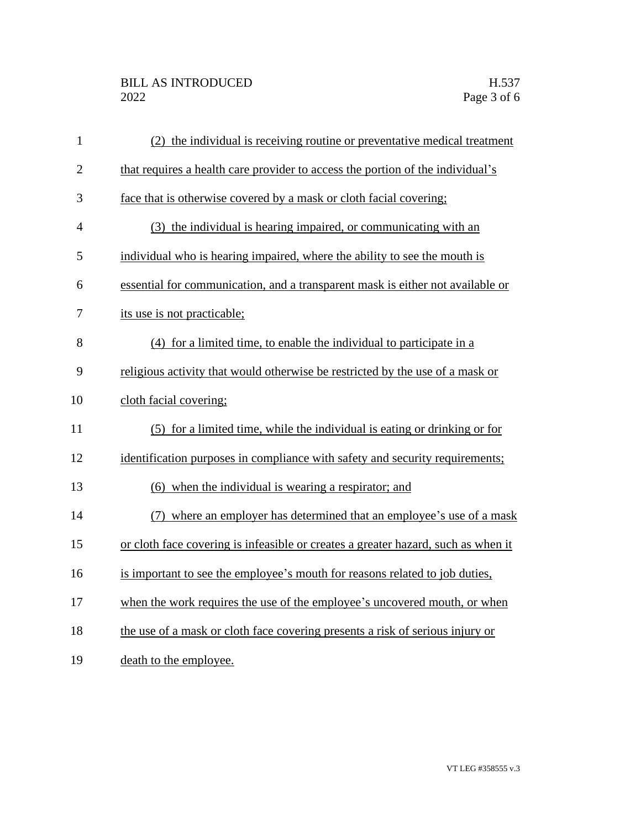| $\mathbf{1}$   | (2) the individual is receiving routine or preventative medical treatment         |
|----------------|-----------------------------------------------------------------------------------|
| $\overline{2}$ | that requires a health care provider to access the portion of the individual's    |
| 3              | face that is otherwise covered by a mask or cloth facial covering;                |
| $\overline{4}$ | (3) the individual is hearing impaired, or communicating with an                  |
| 5              | individual who is hearing impaired, where the ability to see the mouth is         |
| 6              | essential for communication, and a transparent mask is either not available or    |
| 7              | its use is not practicable;                                                       |
| 8              | (4) for a limited time, to enable the individual to participate in a              |
| 9              | religious activity that would otherwise be restricted by the use of a mask or     |
| 10             | cloth facial covering;                                                            |
| 11             | (5) for a limited time, while the individual is eating or drinking or for         |
| 12             | identification purposes in compliance with safety and security requirements;      |
| 13             | (6) when the individual is wearing a respirator; and                              |
| 14             | (7) where an employer has determined that an employee's use of a mask             |
| 15             | or cloth face covering is infeasible or creates a greater hazard, such as when it |
| 16             | is important to see the employee's mouth for reasons related to job duties,       |
| 17             | when the work requires the use of the employee's uncovered mouth, or when         |
| 18             | the use of a mask or cloth face covering presents a risk of serious injury or     |
| 19             | death to the employee.                                                            |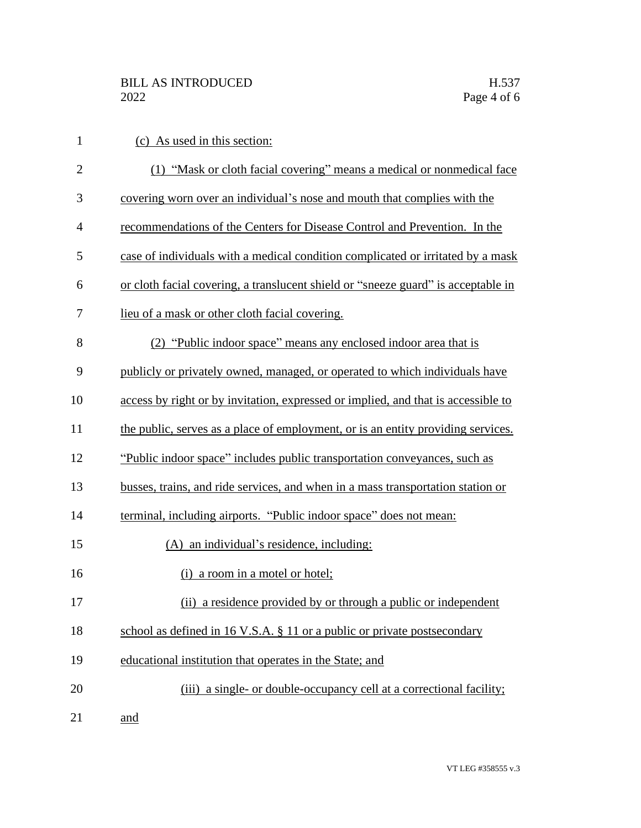| $\mathbf{1}$   | (c) As used in this section:                                                      |
|----------------|-----------------------------------------------------------------------------------|
| $\overline{2}$ | (1) "Mask or cloth facial covering" means a medical or nonmedical face            |
| 3              | covering worn over an individual's nose and mouth that complies with the          |
| $\overline{4}$ | recommendations of the Centers for Disease Control and Prevention. In the         |
| 5              | case of individuals with a medical condition complicated or irritated by a mask   |
| 6              | or cloth facial covering, a translucent shield or "sneeze guard" is acceptable in |
| 7              | lieu of a mask or other cloth facial covering.                                    |
| 8              | (2) "Public indoor space" means any enclosed indoor area that is                  |
| 9              | publicly or privately owned, managed, or operated to which individuals have       |
| 10             | access by right or by invitation, expressed or implied, and that is accessible to |
| 11             | the public, serves as a place of employment, or is an entity providing services.  |
| 12             | "Public indoor space" includes public transportation conveyances, such as         |
| 13             | busses, trains, and ride services, and when in a mass transportation station or   |
| 14             | terminal, including airports. "Public indoor space" does not mean:                |
| 15             | (A) an individual's residence, including:                                         |
| 16             | (i) a room in a motel or hotel;                                                   |
| 17             | (ii) a residence provided by or through a public or independent                   |
| 18             | school as defined in 16 V.S.A. § 11 or a public or private postsecondary          |
| 19             | educational institution that operates in the State; and                           |
| 20             | (iii) a single- or double-occupancy cell at a correctional facility;              |
| 21             | and                                                                               |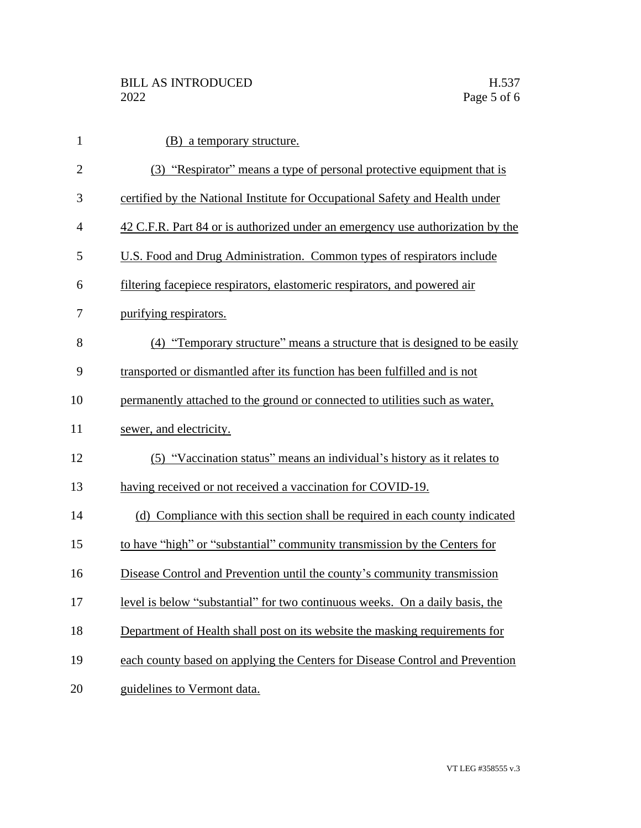| $\mathbf{1}$   | (B) a temporary structure.                                                     |
|----------------|--------------------------------------------------------------------------------|
| $\overline{2}$ | (3) "Respirator" means a type of personal protective equipment that is         |
| 3              | certified by the National Institute for Occupational Safety and Health under   |
| $\overline{4}$ | 42 C.F.R. Part 84 or is authorized under an emergency use authorization by the |
| 5              | U.S. Food and Drug Administration. Common types of respirators include         |
| 6              | filtering facepiece respirators, elastomeric respirators, and powered air      |
| 7              | purifying respirators.                                                         |
| 8              | (4) "Temporary structure" means a structure that is designed to be easily      |
| 9              | transported or dismantled after its function has been fulfilled and is not     |
| 10             | permanently attached to the ground or connected to utilities such as water,    |
| 11             | sewer, and electricity.                                                        |
| 12             | (5) "Vaccination status" means an individual's history as it relates to        |
| 13             | having received or not received a vaccination for COVID-19.                    |
| 14             | (d) Compliance with this section shall be required in each county indicated    |
| 15             | to have "high" or "substantial" community transmission by the Centers for      |
| 16             | Disease Control and Prevention until the county's community transmission       |
| 17             | level is below "substantial" for two continuous weeks. On a daily basis, the   |
| 18             | Department of Health shall post on its website the masking requirements for    |
| 19             | each county based on applying the Centers for Disease Control and Prevention   |
| 20             | guidelines to Vermont data.                                                    |